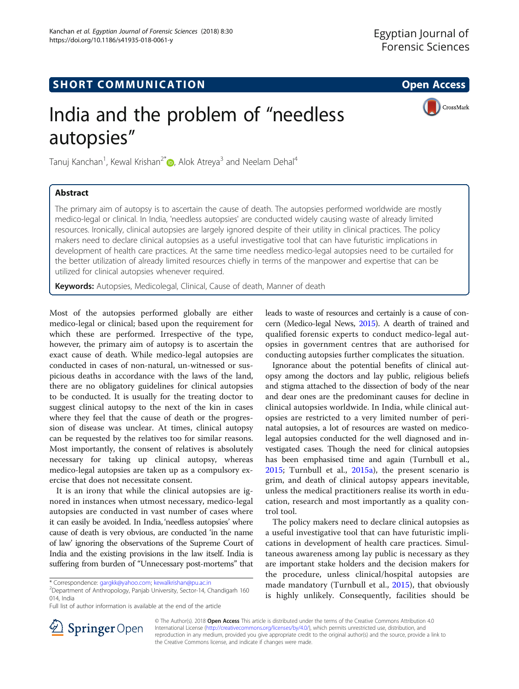CrossMark

# **SHORT COMMUNICATION COMMUNICATION**

# India and the problem of "needless autopsies"

Tanuj Kanchan<sup>1</sup>, Kewal Krishan<sup>2[\\*](http://orcid.org/0000-0001-5321-0958)</sup> (**b**, Alok Atreya<sup>3</sup> and Neelam Dehal<sup>4</sup>

# Abstract

The primary aim of autopsy is to ascertain the cause of death. The autopsies performed worldwide are mostly medico-legal or clinical. In India, 'needless autopsies' are conducted widely causing waste of already limited resources. Ironically, clinical autopsies are largely ignored despite of their utility in clinical practices. The policy makers need to declare clinical autopsies as a useful investigative tool that can have futuristic implications in development of health care practices. At the same time needless medico-legal autopsies need to be curtailed for the better utilization of already limited resources chiefly in terms of the manpower and expertise that can be utilized for clinical autopsies whenever required.

Keywords: Autopsies, Medicolegal, Clinical, Cause of death, Manner of death

Most of the autopsies performed globally are either medico-legal or clinical; based upon the requirement for which these are performed. Irrespective of the type, however, the primary aim of autopsy is to ascertain the exact cause of death. While medico-legal autopsies are conducted in cases of non-natural, un-witnessed or suspicious deaths in accordance with the laws of the land, there are no obligatory guidelines for clinical autopsies to be conducted. It is usually for the treating doctor to suggest clinical autopsy to the next of the kin in cases where they feel that the cause of death or the progression of disease was unclear. At times, clinical autopsy can be requested by the relatives too for similar reasons. Most importantly, the consent of relatives is absolutely necessary for taking up clinical autopsy, whereas medico-legal autopsies are taken up as a compulsory exercise that does not necessitate consent.

It is an irony that while the clinical autopsies are ignored in instances when utmost necessary, medico-legal autopsies are conducted in vast number of cases where it can easily be avoided. In India, 'needless autopsies' where cause of death is very obvious, are conducted 'in the name of law' ignoring the observations of the Supreme Court of India and the existing provisions in the law itself. India is suffering from burden of "Unnecessary post-mortems" that

<sup>2</sup>Department of Anthropology, Panjab University, Sector-14, Chandigarh 160 014, India

Full list of author information is available at the end of the article

leads to waste of resources and certainly is a cause of concern (Medico-legal News, [2015\)](#page-1-0). A dearth of trained and qualified forensic experts to conduct medico-legal autopsies in government centres that are authorised for conducting autopsies further complicates the situation.

Ignorance about the potential benefits of clinical autopsy among the doctors and lay public, religious beliefs and stigma attached to the dissection of body of the near and dear ones are the predominant causes for decline in clinical autopsies worldwide. In India, while clinical autopsies are restricted to a very limited number of perinatal autopsies, a lot of resources are wasted on medicolegal autopsies conducted for the well diagnosed and investigated cases. Though the need for clinical autopsies has been emphasised time and again (Turnbull et al., [2015;](#page-1-0) Turnbull et al., [2015a](#page-1-0)), the present scenario is grim, and death of clinical autopsy appears inevitable, unless the medical practitioners realise its worth in education, research and most importantly as a quality control tool.

The policy makers need to declare clinical autopsies as a useful investigative tool that can have futuristic implications in development of health care practices. Simultaneous awareness among lay public is necessary as they are important stake holders and the decision makers for the procedure, unless clinical/hospital autopsies are made mandatory (Turnbull et al., [2015](#page-1-0)), that obviously is highly unlikely. Consequently, facilities should be



© The Author(s). 2018 Open Access This article is distributed under the terms of the Creative Commons Attribution 4.0 International License ([http://creativecommons.org/licenses/by/4.0/\)](http://creativecommons.org/licenses/by/4.0/), which permits unrestricted use, distribution, and reproduction in any medium, provided you give appropriate credit to the original author(s) and the source, provide a link to the Creative Commons license, and indicate if changes were made.

<sup>\*</sup> Correspondence: [gargkk@yahoo.com](mailto:gargkk@yahoo.com); [kewalkrishan@pu.ac.in](mailto:kewalkrishan@pu.ac.in) <sup>2</sup>